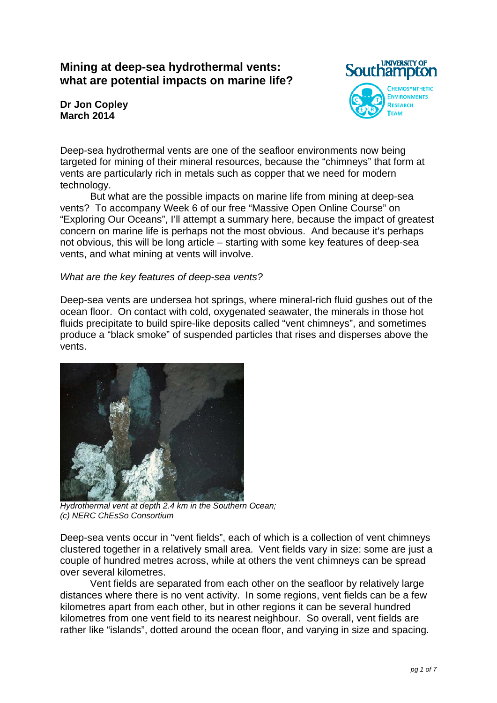# **Mining at deep-sea hydrothermal vents: what are potential impacts on marine life?**



**Dr Jon Copley March 2014**

Deep-sea hydrothermal vents are one of the seafloor environments now being targeted for mining of their mineral resources, because the "chimneys" that form at vents are particularly rich in metals such as copper that we need for modern technology.

 But what are the possible impacts on marine life from mining at deep-sea vents? To accompany Week 6 of our free "Massive Open Online Course" on "Exploring Our Oceans", I'll attempt a summary here, because the impact of greatest concern on marine life is perhaps not the most obvious. And because it's perhaps not obvious, this will be long article – starting with some key features of deep-sea vents, and what mining at vents will involve.

#### *What are the key features of deep-sea vents?*

Deep-sea vents are undersea hot springs, where mineral-rich fluid gushes out of the ocean floor. On contact with cold, oxygenated seawater, the minerals in those hot fluids precipitate to build spire-like deposits called "vent chimneys", and sometimes produce a "black smoke" of suspended particles that rises and disperses above the vents.



*Hydrothermal vent at depth 2.4 km in the Southern Ocean; (c) NERC ChEsSo Consortium* 

Deep-sea vents occur in "vent fields", each of which is a collection of vent chimneys clustered together in a relatively small area. Vent fields vary in size: some are just a couple of hundred metres across, while at others the vent chimneys can be spread over several kilometres.

 Vent fields are separated from each other on the seafloor by relatively large distances where there is no vent activity. In some regions, vent fields can be a few kilometres apart from each other, but in other regions it can be several hundred kilometres from one vent field to its nearest neighbour. So overall, vent fields are rather like "islands", dotted around the ocean floor, and varying in size and spacing.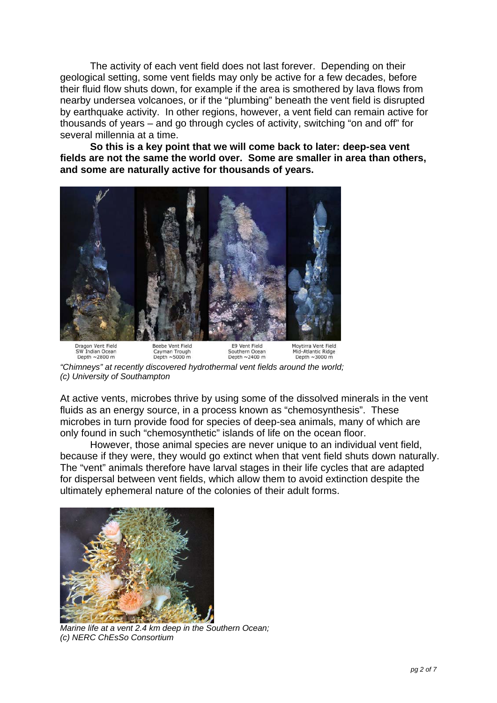The activity of each vent field does not last forever. Depending on their geological setting, some vent fields may only be active for a few decades, before their fluid flow shuts down, for example if the area is smothered by lava flows from nearby undersea volcanoes, or if the "plumbing" beneath the vent field is disrupted by earthquake activity. In other regions, however, a vent field can remain active for thousands of years – and go through cycles of activity, switching "on and off" for several millennia at a time.

**So this is a key point that we will come back to later: deep-sea vent fields are not the same the world over. Some are smaller in area than others, and some are naturally active for thousands of years.** 



*"Chimneys" at recently discovered hydrothermal vent fields around the world; (c) University of Southampton* 

At active vents, microbes thrive by using some of the dissolved minerals in the vent fluids as an energy source, in a process known as "chemosynthesis". These microbes in turn provide food for species of deep-sea animals, many of which are only found in such "chemosynthetic" islands of life on the ocean floor.

 However, those animal species are never unique to an individual vent field, because if they were, they would go extinct when that vent field shuts down naturally. The "vent" animals therefore have larval stages in their life cycles that are adapted for dispersal between vent fields, which allow them to avoid extinction despite the ultimately ephemeral nature of the colonies of their adult forms.



*Marine life at a vent 2.4 km deep in the Southern Ocean; (c) NERC ChEsSo Consortium*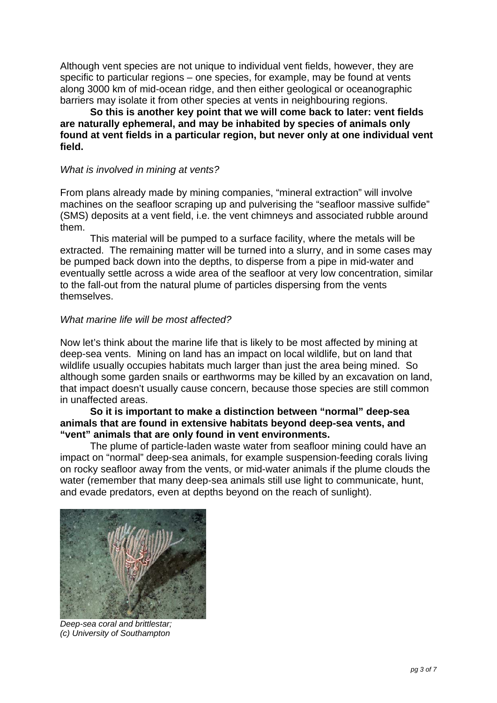Although vent species are not unique to individual vent fields, however, they are specific to particular regions – one species, for example, may be found at vents along 3000 km of mid-ocean ridge, and then either geological or oceanographic barriers may isolate it from other species at vents in neighbouring regions.

**So this is another key point that we will come back to later: vent fields are naturally ephemeral, and may be inhabited by species of animals only found at vent fields in a particular region, but never only at one individual vent field.** 

#### *What is involved in mining at vents?*

From plans already made by mining companies, "mineral extraction" will involve machines on the seafloor scraping up and pulverising the "seafloor massive sulfide" (SMS) deposits at a vent field, i.e. the vent chimneys and associated rubble around them.

 This material will be pumped to a surface facility, where the metals will be extracted. The remaining matter will be turned into a slurry, and in some cases may be pumped back down into the depths, to disperse from a pipe in mid-water and eventually settle across a wide area of the seafloor at very low concentration, similar to the fall-out from the natural plume of particles dispersing from the vents themselves.

#### *What marine life will be most affected?*

Now let's think about the marine life that is likely to be most affected by mining at deep-sea vents. Mining on land has an impact on local wildlife, but on land that wildlife usually occupies habitats much larger than just the area being mined. So although some garden snails or earthworms may be killed by an excavation on land, that impact doesn't usually cause concern, because those species are still common in unaffected areas.

### **So it is important to make a distinction between "normal" deep-sea animals that are found in extensive habitats beyond deep-sea vents, and "vent" animals that are only found in vent environments.**

 The plume of particle-laden waste water from seafloor mining could have an impact on "normal" deep-sea animals, for example suspension-feeding corals living on rocky seafloor away from the vents, or mid-water animals if the plume clouds the water (remember that many deep-sea animals still use light to communicate, hunt, and evade predators, even at depths beyond on the reach of sunlight).



*Deep-sea coral and brittlestar; (c) University of Southampton*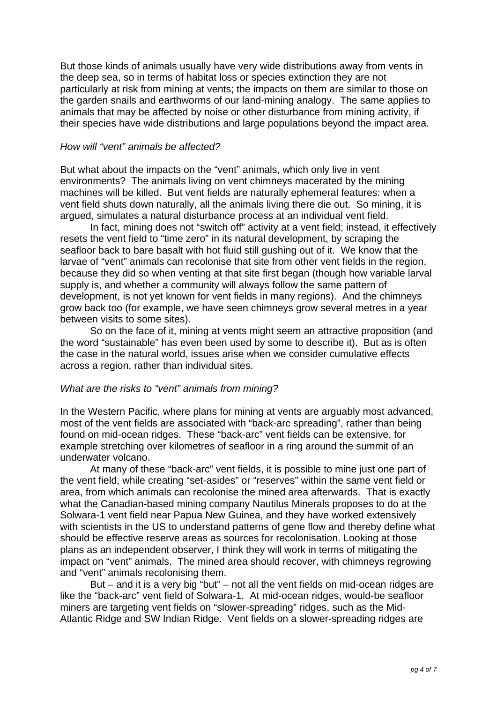But those kinds of animals usually have very wide distributions away from vents in the deep sea, so in terms of habitat loss or species extinction they are not particularly at risk from mining at vents; the impacts on them are similar to those on the garden snails and earthworms of our land-mining analogy. The same applies to animals that may be affected by noise or other disturbance from mining activity, if their species have wide distributions and large populations beyond the impact area.

#### *How will "vent" animals be affected?*

But what about the impacts on the "vent" animals, which only live in vent environments? The animals living on vent chimneys macerated by the mining machines will be killed. But vent fields are naturally ephemeral features: when a vent field shuts down naturally, all the animals living there die out. So mining, it is argued, simulates a natural disturbance process at an individual vent field.

 In fact, mining does not "switch off" activity at a vent field; instead, it effectively resets the vent field to "time zero" in its natural development, by scraping the seafloor back to bare basalt with hot fluid still gushing out of it. We know that the larvae of "vent" animals can recolonise that site from other vent fields in the region, because they did so when venting at that site first began (though how variable larval supply is, and whether a community will always follow the same pattern of development, is not yet known for vent fields in many regions). And the chimneys grow back too (for example, we have seen chimneys grow several metres in a year between visits to some sites).

 So on the face of it, mining at vents might seem an attractive proposition (and the word "sustainable" has even been used by some to describe it). But as is often the case in the natural world, issues arise when we consider cumulative effects across a region, rather than individual sites.

## *What are the risks to "vent" animals from mining?*

In the Western Pacific, where plans for mining at vents are arguably most advanced, most of the vent fields are associated with "back-arc spreading", rather than being found on mid-ocean ridges. These "back-arc" vent fields can be extensive, for example stretching over kilometres of seafloor in a ring around the summit of an underwater volcano.

 At many of these "back-arc" vent fields, it is possible to mine just one part of the vent field, while creating "set-asides" or "reserves" within the same vent field or area, from which animals can recolonise the mined area afterwards. That is exactly what the Canadian-based mining company Nautilus Minerals proposes to do at the Solwara-1 vent field near Papua New Guinea, and they have worked extensively with scientists in the US to understand patterns of gene flow and thereby define what should be effective reserve areas as sources for recolonisation. Looking at those plans as an independent observer, I think they will work in terms of mitigating the impact on "vent" animals. The mined area should recover, with chimneys regrowing and "vent" animals recolonising them.

 But – and it is a very big "but" – not all the vent fields on mid-ocean ridges are like the "back-arc" vent field of Solwara-1. At mid-ocean ridges, would-be seafloor miners are targeting vent fields on "slower-spreading" ridges, such as the Mid-Atlantic Ridge and SW Indian Ridge. Vent fields on a slower-spreading ridges are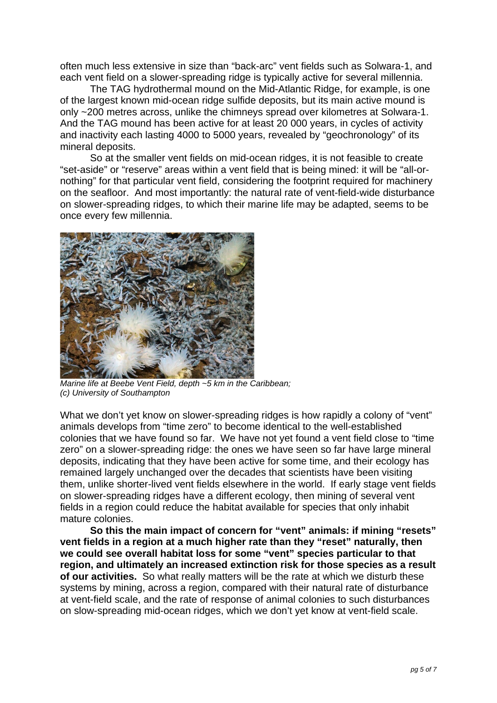often much less extensive in size than "back-arc" vent fields such as Solwara-1, and each vent field on a slower-spreading ridge is typically active for several millennia.

 The TAG hydrothermal mound on the Mid-Atlantic Ridge, for example, is one of the largest known mid-ocean ridge sulfide deposits, but its main active mound is only ~200 metres across, unlike the chimneys spread over kilometres at Solwara-1. And the TAG mound has been active for at least 20 000 years, in cycles of activity and inactivity each lasting 4000 to 5000 years, revealed by "geochronology" of its mineral deposits.

 So at the smaller vent fields on mid-ocean ridges, it is not feasible to create "set-aside" or "reserve" areas within a vent field that is being mined: it will be "all-ornothing" for that particular vent field, considering the footprint required for machinery on the seafloor. And most importantly: the natural rate of vent-field-wide disturbance on slower-spreading ridges, to which their marine life may be adapted, seems to be once every few millennia.



*Marine life at Beebe Vent Field, depth ~5 km in the Caribbean; (c) University of Southampton* 

What we don't yet know on slower-spreading ridges is how rapidly a colony of "vent" animals develops from "time zero" to become identical to the well-established colonies that we have found so far. We have not yet found a vent field close to "time zero" on a slower-spreading ridge: the ones we have seen so far have large mineral deposits, indicating that they have been active for some time, and their ecology has remained largely unchanged over the decades that scientists have been visiting them, unlike shorter-lived vent fields elsewhere in the world. If early stage vent fields on slower-spreading ridges have a different ecology, then mining of several vent fields in a region could reduce the habitat available for species that only inhabit mature colonies.

 **So this the main impact of concern for "vent" animals: if mining "resets" vent fields in a region at a much higher rate than they "reset" naturally, then we could see overall habitat loss for some "vent" species particular to that region, and ultimately an increased extinction risk for those species as a result of our activities.** So what really matters will be the rate at which we disturb these systems by mining, across a region, compared with their natural rate of disturbance at vent-field scale, and the rate of response of animal colonies to such disturbances on slow-spreading mid-ocean ridges, which we don't yet know at vent-field scale.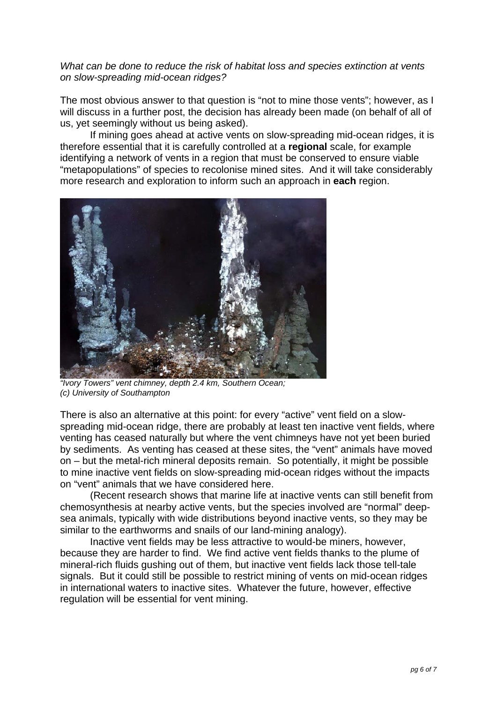### *What can be done to reduce the risk of habitat loss and species extinction at vents on slow-spreading mid-ocean ridges?*

The most obvious answer to that question is "not to mine those vents"; however, as I will discuss in a further post, the decision has already been made (on behalf of all of us, yet seemingly without us being asked).

 If mining goes ahead at active vents on slow-spreading mid-ocean ridges, it is therefore essential that it is carefully controlled at a **regional** scale, for example identifying a network of vents in a region that must be conserved to ensure viable "metapopulations" of species to recolonise mined sites. And it will take considerably more research and exploration to inform such an approach in **each** region.



*"Ivory Towers" vent chimney, depth 2.4 km, Southern Ocean; (c) University of Southampton* 

There is also an alternative at this point: for every "active" vent field on a slowspreading mid-ocean ridge, there are probably at least ten inactive vent fields, where venting has ceased naturally but where the vent chimneys have not yet been buried by sediments. As venting has ceased at these sites, the "vent" animals have moved on – but the metal-rich mineral deposits remain. So potentially, it might be possible to mine inactive vent fields on slow-spreading mid-ocean ridges without the impacts on "vent" animals that we have considered here.

 (Recent research shows that marine life at inactive vents can still benefit from chemosynthesis at nearby active vents, but the species involved are "normal" deepsea animals, typically with wide distributions beyond inactive vents, so they may be similar to the earthworms and snails of our land-mining analogy).

 Inactive vent fields may be less attractive to would-be miners, however, because they are harder to find. We find active vent fields thanks to the plume of mineral-rich fluids gushing out of them, but inactive vent fields lack those tell-tale signals. But it could still be possible to restrict mining of vents on mid-ocean ridges in international waters to inactive sites. Whatever the future, however, effective regulation will be essential for vent mining.